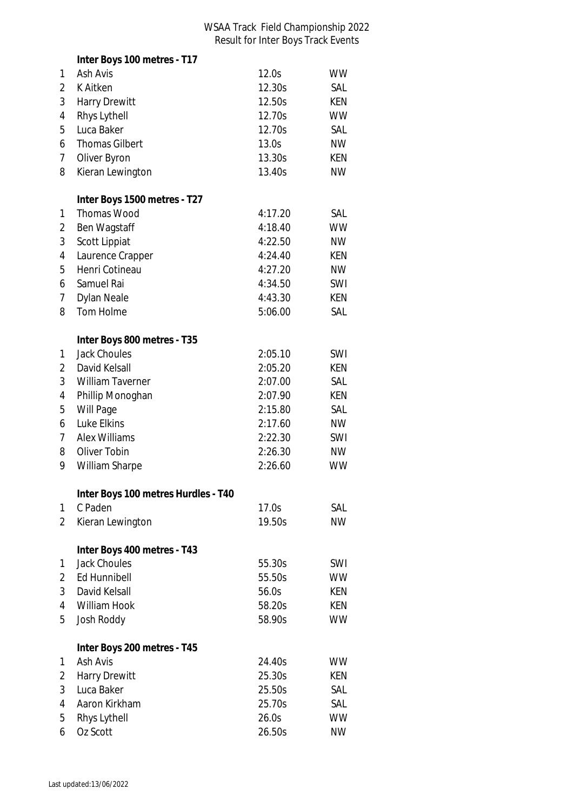## WSAA Track Field Championship 2022 Result for Inter Boys Track Events

|                | Inter Boys 100 metres - T17         |         |            |
|----------------|-------------------------------------|---------|------------|
| 1              | Ash Avis                            | 12.0s   | <b>WW</b>  |
| 2              | <b>K</b> Aitken                     | 12.30s  | SAL        |
| 3              | <b>Harry Drewitt</b>                | 12.50s  | <b>KEN</b> |
| 4              | Rhys Lythell                        | 12.70s  | <b>WW</b>  |
| 5              | Luca Baker                          | 12.70s  | SAL        |
| 6              | <b>Thomas Gilbert</b>               | 13.0s   | <b>NW</b>  |
| 7              | Oliver Byron                        | 13.30s  | <b>KEN</b> |
| 8              | Kieran Lewington                    | 13.40s  | <b>NW</b>  |
|                |                                     |         |            |
|                | Inter Boys 1500 metres - T27        |         |            |
| 1              | <b>Thomas Wood</b>                  | 4:17.20 | SAL        |
| 2              | Ben Wagstaff                        | 4:18.40 | <b>WW</b>  |
| 3              | Scott Lippiat                       | 4:22.50 | <b>NW</b>  |
| 4              | Laurence Crapper                    | 4:24.40 | KEN        |
| 5              | Henri Cotineau                      | 4:27.20 | <b>NW</b>  |
| 6              | Samuel Rai                          | 4:34.50 | SWI        |
| 7              | <b>Dylan Neale</b>                  | 4:43.30 | <b>KEN</b> |
| 8              | Tom Holme                           | 5:06.00 | SAL        |
|                | Inter Boys 800 metres - T35         |         |            |
| 1              | <b>Jack Choules</b>                 | 2:05.10 | SWI        |
| 2              | David Kelsall                       | 2:05.20 | KEN        |
| 3              | <b>William Taverner</b>             | 2:07.00 | SAL        |
| 4              | Phillip Monoghan                    | 2:07.90 | KEN        |
| 5              | Will Page                           | 2:15.80 | SAL        |
| 6              | Luke Elkins                         | 2:17.60 | <b>NW</b>  |
| 7              | <b>Alex Williams</b>                | 2:22.30 | SWI        |
| 8              | Oliver Tobin                        | 2:26.30 | <b>NW</b>  |
| 9              | William Sharpe                      | 2:26.60 | <b>WW</b>  |
|                |                                     |         |            |
|                | Inter Boys 100 metres Hurdles - T40 |         |            |
| 1              | C Paden                             | 17.0s   | SAL        |
| $\overline{2}$ | Kieran Lewington                    | 19.50s  | <b>NW</b>  |
|                | Inter Boys 400 metres - T43         |         |            |
| 1              | <b>Jack Choules</b>                 | 55.30s  | SWI        |
| 2              | <b>Ed Hunnibell</b>                 | 55.50s  | <b>WW</b>  |
| 3              | David Kelsall                       | 56.0s   | <b>KEN</b> |
| 4              | William Hook                        | 58.20s  | <b>KEN</b> |
| 5              | Josh Roddy                          | 58.90s  | <b>WW</b>  |
|                | Inter Boys 200 metres - T45         |         |            |
| 1              | Ash Avis                            | 24.40s  | <b>WW</b>  |
| 2              | <b>Harry Drewitt</b>                | 25.30s  | KEN        |
| 3              | Luca Baker                          | 25.50s  | SAL        |
| 4              | Aaron Kirkham                       | 25.70s  | SAL        |
| 5              | Rhys Lythell                        | 26.0s   | <b>WW</b>  |
| 6              | Oz Scott                            | 26.50s  | <b>NW</b>  |